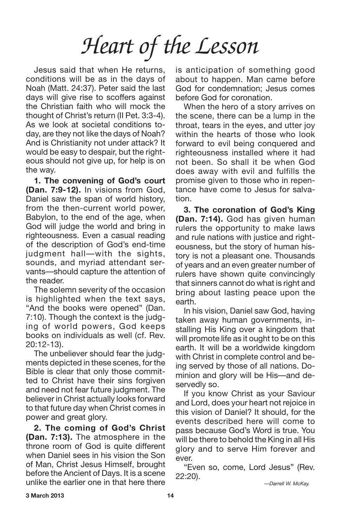Jesus said that when He returns, conditions will be as in the days of Noah (Matt. 24:37). Peter said the last days will give rise to scoffers against the Christian faith who will mock the thought of Christ's return (II Pet. 3:3-4). As we look at societal conditions today, are they not like the days of Noah? And is Christianity not under attack? It would be easy to despair, but the righteous should not give up, for help is on the way.

**1. The convening of God's court (Dan. 7:9-12).** In visions from God, Daniel saw the span of world history, from the then-current world power, Babylon, to the end of the age, when God will judge the world and bring in righteousness. Even a casual reading of the description of God's end-time judgment hall—with the sights, sounds, and myriad attendant servants—should capture the attention of the reader.

The solemn severity of the occasion is highlighted when the text says, "And the books were opened" (Dan. 7:10). Though the context is the judging of world powers, God keeps books on individuals as well (cf. Rev. 20:12-13).

The unbeliever should fear the judgments depicted in these scenes, for the Bible is clear that only those committed to Christ have their sins forgiven and need not fear future judgment. The believer in Christ actually looks forward to that future day when Christ comes in power and great glory.

**2. The coming of God's Christ (Dan. 7:13).** The atmosphere in the throne room of God is quite different when Daniel sees in his vision the Son of Man, Christ Jesus Himself, brought before the Ancient of Days. It is a scene unlike the earlier one in that here there

is anticipation of something good about to happen. Man came before God for condemnation; Jesus comes before God for coronation.

When the hero of a story arrives on the scene, there can be a lump in the throat, tears in the eyes, and utter joy within the hearts of those who look forward to evil being conquered and righteousness installed where it had not been. So shall it be when God does away with evil and fulfills the promise given to those who in repentance have come to Jesus for salvation.

**3. The coronation of God's King (Dan. 7:14).** God has given human rulers the opportunity to make laws and rule nations with justice and righteousness, but the story of human history is not a pleasant one. Thousands of years and an even greater number of rulers have shown quite convincingly that sinners cannot do what is right and bring about lasting peace upon the earth.

In his vision, Daniel saw God, having taken away human governments, installing His King over a kingdom that will promote life as it ought to be on this earth. It will be a worldwide kingdom with Christ in complete control and being served by those of all nations. Dominion and glory will be His—and deservedly so.

If you know Christ as your Saviour and Lord, does your heart not rejoice in this vision of Daniel? It should, for the events described here will come to pass because God's Word is true. You will be there to behold the King in all His glory and to serve Him forever and ever.

"Even so, come, Lord Jesus" (Rev. 22:20).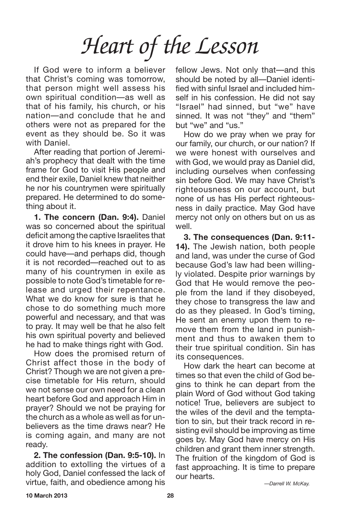If God were to inform a believer that Christ's coming was tomorrow, that person might well assess his own spiritual condition—as well as that of his family, his church, or his nation—and conclude that he and others were not as prepared for the event as they should be. So it was with Daniel.

After reading that portion of Jeremiah's prophecy that dealt with the time frame for God to visit His people and end their exile, Daniel knew that neither he nor his countrymen were spiritually prepared. He determined to do something about it.

**1. The concern (Dan. 9:4).** Daniel was so concerned about the spiritual deficit among the captive Israelites that it drove him to his knees in prayer. He could have—and perhaps did, though it is not recorded—reached out to as many of his countrymen in exile as possible to note God's timetable for release and urged their repentance. What we do know for sure is that he chose to do something much more powerful and necessary, and that was to pray. It may well be that he also felt his own spiritual poverty and believed he had to make things right with God.

How does the promised return of Christ affect those in the body of Christ? Though we are not given a precise timetable for His return, should we not sense our own need for a clean heart before God and approach Him in prayer? Should we not be praying for the church as a whole as well as for unbelievers as the time draws near? He is coming again, and many are not ready.

**2. The confession (Dan. 9:5-10).** In addition to extolling the virtues of a holy God, Daniel confessed the lack of virtue, faith, and obedience among his

fellow Jews. Not only that—and this should be noted by all—Daniel identified with sinful Israel and included himself in his confession. He did not say "Israel" had sinned, but "we" have sinned. It was not "they" and "them" but "we" and "us."

How do we pray when we pray for our family, our church, or our nation? If we were honest with ourselves and with God, we would pray as Daniel did, including ourselves when confessing sin before God. We may have Christ's righteousness on our account, but none of us has His perfect righteousness in daily practice. May God have mercy not only on others but on us as well.

**3. The consequences (Dan. 9:11- 14).** The Jewish nation, both people and land, was under the curse of God because God's law had been willingly violated. Despite prior warnings by God that He would remove the people from the land if they disobeyed, they chose to transgress the law and do as they pleased. In God's timing, He sent an enemy upon them to remove them from the land in punishment and thus to awaken them to their true spiritual condition. Sin has its consequences.

How dark the heart can become at times so that even the child of God begins to think he can depart from the plain Word of God without God taking notice! True, believers are subject to the wiles of the devil and the temptation to sin, but their track record in resisting evil should be improving as time goes by. May God have mercy on His children and grant them inner strength. The fruition of the kingdom of God is fast approaching. It is time to prepare our hearts.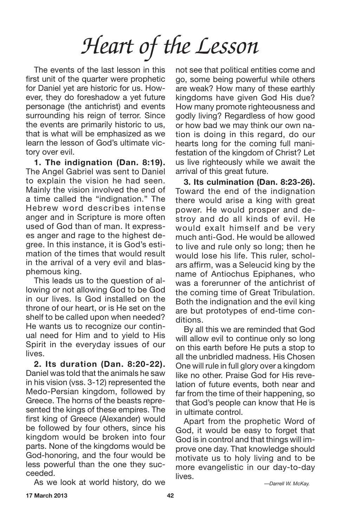The events of the last lesson in this first unit of the quarter were prophetic for Daniel yet are historic for us. However, they do foreshadow a yet future personage (the antichrist) and events surrounding his reign of terror. Since the events are primarily historic to us, that is what will be emphasized as we learn the lesson of God's ultimate victory over evil.

**1. The indignation (Dan. 8:19).** The Angel Gabriel was sent to Daniel to explain the vision he had seen. Mainly the vision involved the end of a time called the "indignation." The Hebrew word describes intense anger and in Scripture is more often used of God than of man. It expresses anger and rage to the highest degree. In this instance, it is God's estimation of the times that would result in the arrival of a very evil and blasphemous king.

This leads us to the question of allowing or not allowing God to be God in our lives. Is God installed on the throne of our heart, or is He set on the shelf to be called upon when needed? He wants us to recognize our continual need for Him and to yield to His Spirit in the everyday issues of our lives.

**2. Its duration (Dan. 8:20-22).** Daniel was told that the animals he saw in his vision (vss. 3-12) represented the Medo-Persian kingdom, followed by Greece. The horns of the beasts represented the kings of these empires. The first king of Greece (Alexander) would be followed by four others, since his kingdom would be broken into four parts. None of the kingdoms would be God-honoring, and the four would be less powerful than the one they succeeded.

As we look at world history, do we

not see that political entities come and go, some being powerful while others are weak? How many of these earthly kingdoms have given God His due? How many promote righteousness and godly living? Regardless of how good or how bad we may think our own nation is doing in this regard, do our hearts long for the coming full manifestation of the kingdom of Christ? Let us live righteously while we await the arrival of this great future.

**3. Its culmination (Dan. 8:23-26).** Toward the end of the indignation there would arise a king with great power. He would prosper and destroy and do all kinds of evil. He would exalt himself and be very much anti-God. He would be allowed to live and rule only so long; then he would lose his life. This ruler, scholars affirm, was a Seleucid king by the name of Antiochus Epiphanes, who was a forerunner of the antichrist of the coming time of Great Tribulation. Both the indignation and the evil king are but prototypes of end-time conditions.

By all this we are reminded that God will allow evil to continue only so long on this earth before He puts a stop to all the unbridled madness. His Chosen One will rule in full glory over a kingdom like no other. Praise God for His revelation of future events, both near and far from the time of their happening, so that God's people can know that He is in ultimate control.

Apart from the prophetic Word of God, it would be easy to forget that God is in control and that things will improve one day. That knowledge should motivate us to holy living and to be more evangelistic in our day-to-day lives.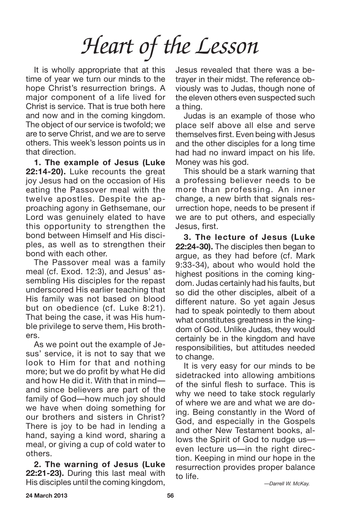It is wholly appropriate that at this time of year we turn our minds to the hope Christ's resurrection brings. A major component of a life lived for Christ is service. That is true both here and now and in the coming kingdom. The object of our service is twofold; we are to serve Christ, and we are to serve others. This week's lesson points us in that direction.

**1. The example of Jesus (Luke 22:14-20).** Luke recounts the great joy Jesus had on the occasion of His eating the Passover meal with the twelve apostles. Despite the approaching agony in Gethsemane, our Lord was genuinely elated to have this opportunity to strengthen the bond between Himself and His disciples, as well as to strengthen their bond with each other.

The Passover meal was a family meal (cf. Exod. 12:3), and Jesus' assembling His disciples for the repast underscored His earlier teaching that His family was not based on blood but on obedience (cf. Luke 8:21). That being the case, it was His humble privilege to serve them, His brothers.

As we point out the example of Jesus' service, it is not to say that we look to Him for that and nothing more; but we do profit by what He did and how He did it. With that in mind and since believers are part of the family of God—how much joy should we have when doing something for our brothers and sisters in Christ? There is joy to be had in lending a hand, saying a kind word, sharing a meal, or giving a cup of cold water to others.

**2. The warning of Jesus (Luke 22:21-23).** During this last meal with His disciples until the coming kingdom, Jesus revealed that there was a betrayer in their midst. The reference obviously was to Judas, though none of the eleven others even suspected such a thing.

Judas is an example of those who place self above all else and serve themselves first. Even being with Jesus and the other disciples for a long time had had no inward impact on his life. Money was his god.

This should be a stark warning that a professing believer needs to be more than professing. An inner change, a new birth that signals resurrection hope, needs to be present if we are to put others, and especially Jesus, first.

**3. The lecture of Jesus (Luke 22:24-30).** The disciples then began to argue, as they had before (cf. Mark 9:33-34), about who would hold the highest positions in the coming kingdom. Judas certainly had his faults, but so did the other disciples, albeit of a different nature. So yet again Jesus had to speak pointedly to them about what constitutes greatness in the kingdom of God. Unlike Judas, they would certainly be in the kingdom and have responsibilities, but attitudes needed to change.

It is very easy for our minds to be sidetracked into allowing ambitions of the sinful flesh to surface. This is why we need to take stock regularly of where we are and what we are doing. Being constantly in the Word of God, and especially in the Gospels and other New Testament books, allows the Spirit of God to nudge us even lecture us—in the right direction. Keeping in mind our hope in the resurrection provides proper balance to life.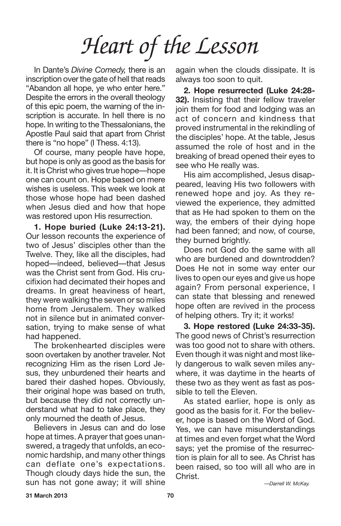In Dante's *Divine Comedy,* there is an inscription over the gate of hell that reads "Abandon all hope, ye who enter here." Despite the errors in the overall theology of this epic poem, the warning of the inscription is accurate. In hell there is no hope. In writing to the Thessalonians, the Apostle Paul said that apart from Christ there is "no hope" (I Thess. 4:13).

Of course, many people have hope, but hope is only as good as the basis for it. It is Christ who gives true hope—hope one can count on. Hope based on mere wishes is useless. This week we look at those whose hope had been dashed when Jesus died and how that hope was restored upon His resurrection.

**1. Hope buried (Luke 24:13-21).** Our lesson recounts the experience of two of Jesus' disciples other than the Twelve. They, like all the disciples, had hoped—indeed, believed—that Jesus was the Christ sent from God. His crucifixion had decimated their hopes and dreams. In great heaviness of heart, they were walking the seven or so miles home from Jerusalem. They walked not in silence but in animated conversation, trying to make sense of what had happened.

The brokenhearted disciples were soon overtaken by another traveler. Not recognizing Him as the risen Lord Jesus, they unburdened their hearts and bared their dashed hopes. Obviously, their original hope was based on truth, but because they did not correctly understand what had to take place, they only mourned the death of Jesus.

Believers in Jesus can and do lose hope at times. A prayer that goes unanswered, a tragedy that unfolds, an economic hardship, and many other things can deflate one's expectations. Though cloudy days hide the sun, the sun has not gone away; it will shine again when the clouds dissipate. It is always too soon to quit.

**2. Hope resurrected (Luke 24:28- 32).** Insisting that their fellow traveler join them for food and lodging was an act of concern and kindness that proved instrumental in the rekindling of the disciples' hope. At the table, Jesus assumed the role of host and in the breaking of bread opened their eyes to see who He really was.

His aim accomplished, Jesus disappeared, leaving His two followers with renewed hope and joy. As they reviewed the experience, they admitted that as He had spoken to them on the way, the embers of their dying hope had been fanned; and now, of course, they burned brightly.

Does not God do the same with all who are burdened and downtrodden? Does He not in some way enter our lives to open our eyes and give us hope again? From personal experience, I can state that blessing and renewed hope often are revived in the process of helping others. Try it; it works!

**3. Hope restored (Luke 24:33-35).** The good news of Christ's resurrection was too good not to share with others. Even though it was night and most likely dangerous to walk seven miles anywhere, it was daytime in the hearts of these two as they went as fast as possible to tell the Eleven.

As stated earlier, hope is only as good as the basis for it. For the believer, hope is based on the Word of God. Yes, we can have misunderstandings at times and even forget what the Word says; yet the promise of the resurrection is plain for all to see. As Christ has been raised, so too will all who are in Christ.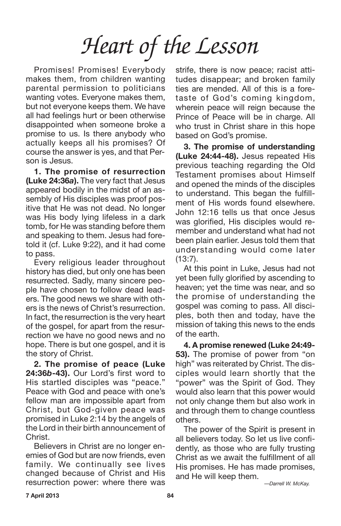Promises! Promises! Everybody makes them, from children wanting parental permission to politicians wanting votes. Everyone makes them, but not everyone keeps them. We have all had feelings hurt or been otherwise disappointed when someone broke a promise to us. Is there anybody who actually keeps all his promises? Of course the answer is yes, and that Person is Jesus.

**1. The promise of resurrection (Luke 24:36***a***).** The very fact that Jesus appeared bodily in the midst of an assembly of His disciples was proof positive that He was not dead. No longer was His body lying lifeless in a dark tomb, for He was standing before them and speaking to them. Jesus had foretold it (cf. Luke 9:22), and it had come to pass.

Every religious leader throughout history has died, but only one has been resurrected. Sadly, many sincere people have chosen to follow dead leaders. The good news we share with others is the news of Christ's resurrection. In fact, the resurrection is the very heart of the gospel, for apart from the resurrection we have no good news and no hope. There is but one gospel, and it is the story of Christ.

**2. The promise of peace (Luke 24:36***b***-43).** Our Lord's first word to His startled disciples was "peace." Peace with God and peace with one's fellow man are impossible apart from Christ, but God-given peace was promised in Luke 2:14 by the angels of the Lord in their birth announcement of Christ.

Believers in Christ are no longer enemies of God but are now friends, even family. We continually see lives changed because of Christ and His resurrection power: where there was strife, there is now peace; racist attitudes disappear; and broken family ties are mended. All of this is a foretaste of God's coming kingdom, wherein peace will reign because the Prince of Peace will be in charge. All who trust in Christ share in this hope based on God's promise.

**3. The promise of understanding (Luke 24:44-48).** Jesus repeated His previous teaching regarding the Old Testament promises about Himself and opened the minds of the disciples to understand. This began the fulfillment of His words found elsewhere. John 12:16 tells us that once Jesus was glorified, His disciples would remember and understand what had not been plain earlier. Jesus told them that understanding would come later (13:7).

At this point in Luke, Jesus had not yet been fully glorified by ascending to heaven; yet the time was near, and so the promise of understanding the gospel was coming to pass. All disciples, both then and today, have the mission of taking this news to the ends of the earth.

**4. A promise renewed (Luke 24:49- 53).** The promise of power from "on high" was reiterated by Christ. The disciples would learn shortly that the "power" was the Spirit of God. They would also learn that this power would not only change them but also work in and through them to change countless others.

The power of the Spirit is present in all believers today. So let us live confidently, as those who are fully trusting Christ as we await the fulfillment of all His promises. He has made promises, and He will keep them.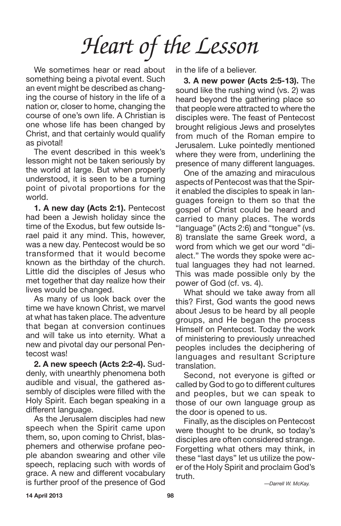We sometimes hear or read about something being a pivotal event. Such an event might be described as changing the course of history in the life of a nation or, closer to home, changing the course of one's own life. A Christian is one whose life has been changed by Christ, and that certainly would qualify as pivotal!

The event described in this week's lesson might not be taken seriously by the world at large. But when properly understood, it is seen to be a turning point of pivotal proportions for the world.

**1. A new day (Acts 2:1).** Pentecost had been a Jewish holiday since the time of the Exodus, but few outside Israel paid it any mind. This, however, was a new day. Pentecost would be so transformed that it would become known as the birthday of the church. Little did the disciples of Jesus who met together that day realize how their lives would be changed.

As many of us look back over the time we have known Christ, we marvel at what has taken place. The adventure that began at conversion continues and will take us into eternity. What a new and pivotal day our personal Pentecost was!

**2. A new speech (Acts 2:2-4).** Suddenly, with unearthly phenomena both audible and visual, the gathered assembly of disciples were filled with the Holy Spirit. Each began speaking in a different language.

As the Jerusalem disciples had new speech when the Spirit came upon them, so, upon coming to Christ, blasphemers and otherwise profane people abandon swearing and other vile speech, replacing such with words of grace. A new and different vocabulary is further proof of the presence of God in the life of a believer.

**3. A new power (Acts 2:5-13).** The sound like the rushing wind (vs. 2) was heard beyond the gathering place so that people were attracted to where the disciples were. The feast of Pentecost brought religious Jews and proselytes from much of the Roman empire to Jerusalem. Luke pointedly mentioned where they were from, underlining the presence of many different languages.

One of the amazing and miraculous aspects of Pentecost was that the Spirit enabled the disciples to speak in languages foreign to them so that the gospel of Christ could be heard and carried to many places. The words "language" (Acts 2:6) and "tongue" (vs. 8) translate the same Greek word, a word from which we get our word "dialect." The words they spoke were actual languages they had not learned. This was made possible only by the power of God (cf. vs. 4).

What should we take away from all this? First, God wants the good news about Jesus to be heard by all people groups, and He began the process Himself on Pentecost. Today the work of ministering to previously unreached peoples includes the deciphering of languages and resultant Scripture translation.

Second, not everyone is gifted or called by God to go to different cultures and peoples, but we can speak to those of our own language group as the door is opened to us.

Finally, as the disciples on Pentecost were thought to be drunk, so today's disciples are often considered strange. Forgetting what others may think, in these "last days" let us utilize the power of the Holy Spirit and proclaim God's truth.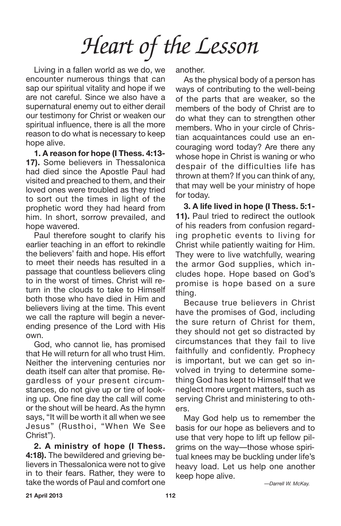Living in a fallen world as we do, we encounter numerous things that can sap our spiritual vitality and hope if we are not careful. Since we also have a supernatural enemy out to either derail our testimony for Christ or weaken our spiritual influence, there is all the more reason to do what is necessary to keep hope alive.

**1. A reason for hope (I Thess. 4:13- 17).** Some believers in Thessalonica had died since the Apostle Paul had visited and preached to them, and their loved ones were troubled as they tried to sort out the times in light of the prophetic word they had heard from him. In short, sorrow prevailed, and hope wavered.

Paul therefore sought to clarify his earlier teaching in an effort to rekindle the believers' faith and hope. His effort to meet their needs has resulted in a passage that countless believers cling to in the worst of times. Christ will return in the clouds to take to Himself both those who have died in Him and believers living at the time. This event we call the rapture will begin a neverending presence of the Lord with His own.

God, who cannot lie, has promised that He will return for all who trust Him. Neither the intervening centuries nor death itself can alter that promise. Regardless of your present circumstances, do not give up or tire of looking up. One fine day the call will come or the shout will be heard. As the hymn says, "It will be worth it all when we see Jesus" (Rusthoi, "When We See Christ").

**2. A ministry of hope (I Thess. 4:18).** The bewildered and grieving believers in Thessalonica were not to give in to their fears. Rather, they were to take the words of Paul and comfort one another.

As the physical body of a person has ways of contributing to the well-being of the parts that are weaker, so the members of the body of Christ are to do what they can to strengthen other members. Who in your circle of Christian acquaintances could use an encouraging word today? Are there any whose hope in Christ is waning or who despair of the difficulties life has thrown at them? If you can think of any, that may well be your ministry of hope for today.

**3. A life lived in hope (I Thess. 5:1- 11).** Paul tried to redirect the outlook of his readers from confusion regarding prophetic events to living for Christ while patiently waiting for Him. They were to live watchfully, wearing the armor God supplies, which includes hope. Hope based on God's promise is hope based on a sure thing.

Because true believers in Christ have the promises of God, including the sure return of Christ for them, they should not get so distracted by circumstances that they fail to live faithfully and confidently. Prophecy is important, but we can get so involved in trying to determine something God has kept to Himself that we neglect more urgent matters, such as serving Christ and ministering to others.

May God help us to remember the basis for our hope as believers and to use that very hope to lift up fellow pilgrims on the way—those whose spiritual knees may be buckling under life's heavy load. Let us help one another keep hope alive.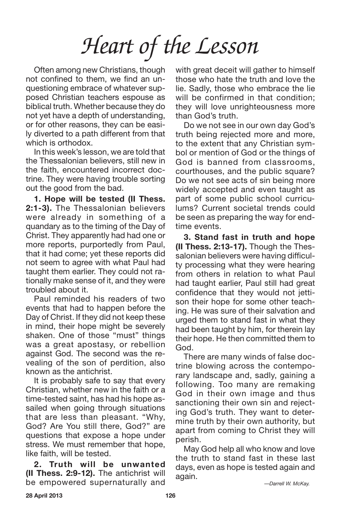Often among new Christians, though not confined to them, we find an unquestioning embrace of whatever supposed Christian teachers espouse as biblical truth. Whether because they do not yet have a depth of understanding, or for other reasons, they can be easily diverted to a path different from that which is orthodox.

In this week's lesson, we are told that the Thessalonian believers, still new in the faith, encountered incorrect doctrine. They were having trouble sorting out the good from the bad.

**1. Hope will be tested (II Thess. 2:1-3).** The Thessalonian believers were already in something of a quandary as to the timing of the Day of Christ. They apparently had had one or more reports, purportedly from Paul, that it had come; yet these reports did not seem to agree with what Paul had taught them earlier. They could not rationally make sense of it, and they were troubled about it.

Paul reminded his readers of two events that had to happen before the Day of Christ. If they did not keep these in mind, their hope might be severely shaken. One of those "must" things was a great apostasy, or rebellion against God. The second was the revealing of the son of perdition, also known as the antichrist.

It is probably safe to say that every Christian, whether new in the faith or a time-tested saint, has had his hope assailed when going through situations that are less than pleasant. "Why, God? Are You still there, God?" are questions that expose a hope under stress. We must remember that hope, like faith, will be tested.

**2. Truth will be unwanted (II Thess. 2:9-12).** The antichrist will be empowered supernaturally and with great deceit will gather to himself those who hate the truth and love the lie. Sadly, those who embrace the lie will be confirmed in that condition; they will love unrighteousness more than God's truth.

Do we not see in our own day God's truth being rejected more and more, to the extent that any Christian symbol or mention of God or the things of God is banned from classrooms, courthouses, and the public square? Do we not see acts of sin being more widely accepted and even taught as part of some public school curriculums? Current societal trends could be seen as preparing the way for endtime events.

**3. Stand fast in truth and hope (II Thess. 2:13-17).** Though the Thessalonian believers were having difficulty processing what they were hearing from others in relation to what Paul had taught earlier, Paul still had great confidence that they would not jettison their hope for some other teaching. He was sure of their salvation and urged them to stand fast in what they had been taught by him, for therein lay their hope. He then committed them to God.

There are many winds of false doctrine blowing across the contemporary landscape and, sadly, gaining a following. Too many are remaking God in their own image and thus sanctioning their own sin and rejecting God's truth. They want to determine truth by their own authority, but apart from coming to Christ they will perish.

May God help all who know and love the truth to stand fast in these last days, even as hope is tested again and again.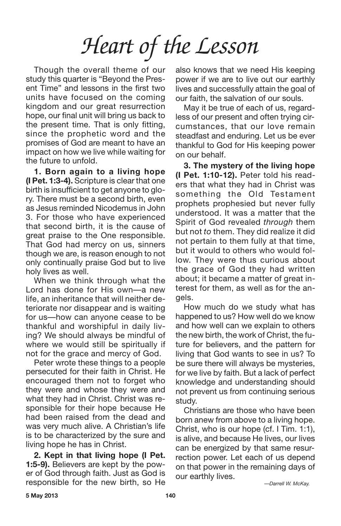Though the overall theme of our study this quarter is "Beyond the Present Time" and lessons in the first two units have focused on the coming kingdom and our great resurrection hope, our final unit will bring us back to the present time. That is only fitting, since the prophetic word and the promises of God are meant to have an impact on how we live while waiting for the future to unfold.

**1. Born again to a living hope (I Pet. 1:3-4).** Scripture is clear that one birth is insufficient to get anyone to glory. There must be a second birth, even as Jesus reminded Nicodemus in John 3. For those who have experienced that second birth, it is the cause of great praise to the One responsible. That God had mercy on us, sinners though we are, is reason enough to not only continually praise God but to live holy lives as well.

When we think through what the Lord has done for His own—a new life, an inheritance that will neither deteriorate nor disappear and is waiting for us—how can anyone cease to be thankful and worshipful in daily living? We should always be mindful of where we would still be spiritually if not for the grace and mercy of God.

Peter wrote these things to a people persecuted for their faith in Christ. He encouraged them not to forget who they were and whose they were and what they had in Christ. Christ was responsible for their hope because He had been raised from the dead and was very much alive. A Christian's life is to be characterized by the sure and living hope he has in Christ.

**2. Kept in that living hope (I Pet. 1:5-9).** Believers are kept by the power of God through faith. Just as God is responsible for the new birth, so He also knows that we need His keeping power if we are to live out our earthly lives and successfully attain the goal of our faith, the salvation of our souls.

May it be true of each of us, regardless of our present and often trying circumstances, that our love remain steadfast and enduring. Let us be ever thankful to God for His keeping power on our behalf.

**3. The mystery of the living hope (I Pet. 1:10-12).** Peter told his readers that what they had in Christ was something the Old Testament prophets prophesied but never fully understood. It was a matter that the Spirit of God revealed *through* them but not *to* them. They did realize it did not pertain to them fully at that time, but it would to others who would follow. They were thus curious about the grace of God they had written about; it became a matter of great interest for them, as well as for the angels.

How much do we study what has happened to us? How well do we know and how well can we explain to others the new birth, the work of Christ, the future for believers, and the pattern for living that God wants to see in us? To be sure there will always be mysteries, for we live by faith. But a lack of perfect knowledge and understanding should not prevent us from continuing serious study.

Christians are those who have been born anew from above to a living hope. Christ, who is our hope (cf. I Tim. 1:1), is alive, and because He lives, our lives can be energized by that same resurrection power. Let each of us depend on that power in the remaining days of our earthly lives.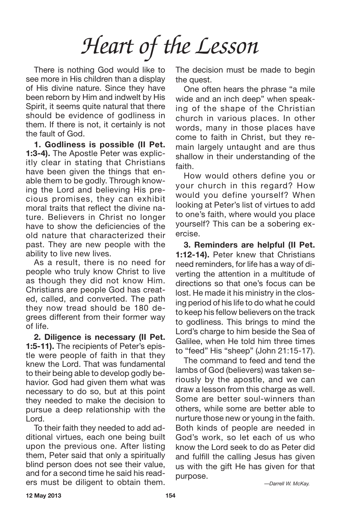There is nothing God would like to see more in His children than a display of His divine nature. Since they have been reborn by Him and indwelt by His Spirit, it seems quite natural that there should be evidence of godliness in them. If there is not, it certainly is not the fault of God.

**1. Godliness is possible (II Pet. 1:3-4).** The Apostle Peter was explicitly clear in stating that Christians have been given the things that enable them to be godly. Through knowing the Lord and believing His precious promises, they can exhibit moral traits that reflect the divine nature. Believers in Christ no longer have to show the deficiencies of the old nature that characterized their past. They are new people with the ability to live new lives.

As a result, there is no need for people who truly know Christ to live as though they did not know Him. Christians are people God has created, called, and converted. The path they now tread should be 180 degrees different from their former way of life.

**2. Diligence is necessary (II Pet. 1:5-11).** The recipients of Peter's epistle were people of faith in that they knew the Lord. That was fundamental to their being able to develop godly behavior. God had given them what was necessary to do so, but at this point they needed to make the decision to pursue a deep relationship with the Lord.

To their faith they needed to add additional virtues, each one being built upon the previous one. After listing them, Peter said that only a spiritually blind person does not see their value, and for a second time he said his readers must be diligent to obtain them. The decision must be made to begin the quest.

One often hears the phrase "a mile wide and an inch deep" when speaking of the shape of the Christian church in various places. In other words, many in those places have come to faith in Christ, but they remain largely untaught and are thus shallow in their understanding of the faith.

How would others define you or your church in this regard? How would you define yourself? When looking at Peter's list of virtues to add to one's faith, where would you place yourself? This can be a sobering exercise.

**3. Reminders are helpful (II Pet. 1:12-14).** Peter knew that Christians need reminders, for life has a way of diverting the attention in a multitude of directions so that one's focus can be lost. He made it his ministry in the closing period of his life to do what he could to keep his fellow believers on the track to godliness. This brings to mind the Lord's charge to him beside the Sea of Galilee, when He told him three times to "feed" His "sheep" (John 21:15-17).

The command to feed and tend the lambs of God (believers) was taken seriously by the apostle, and we can draw a lesson from this charge as well. Some are better soul-winners than others, while some are better able to nurture those new or young in the faith. Both kinds of people are needed in God's work, so let each of us who know the Lord seek to do as Peter did and fulfill the calling Jesus has given us with the gift He has given for that purpose.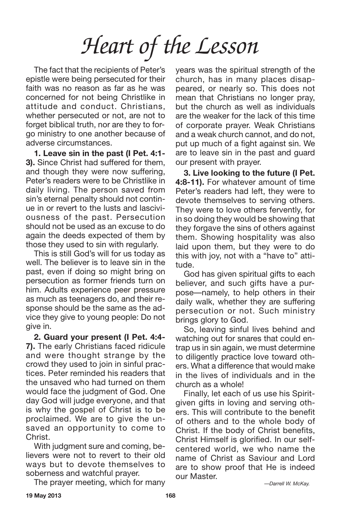The fact that the recipients of Peter's epistle were being persecuted for their faith was no reason as far as he was concerned for not being Christlike in attitude and conduct. Christians, whether persecuted or not, are not to forget biblical truth, nor are they to forgo ministry to one another because of adverse circumstances.

**1. Leave sin in the past (I Pet. 4:1- 3).** Since Christ had suffered for them, and though they were now suffering, Peter's readers were to be Christlike in daily living. The person saved from sin's eternal penalty should not continue in or revert to the lusts and lasciviousness of the past. Persecution should not be used as an excuse to do again the deeds expected of them by those they used to sin with regularly.

This is still God's will for us today as well. The believer is to leave sin in the past, even if doing so might bring on persecution as former friends turn on him. Adults experience peer pressure as much as teenagers do, and their response should be the same as the advice they give to young people: Do not give in.

**2. Guard your present (I Pet. 4:4- 7).** The early Christians faced ridicule and were thought strange by the crowd they used to join in sinful practices. Peter reminded his readers that the unsaved who had turned on them would face the judgment of God. One day God will judge everyone, and that is why the gospel of Christ is to be proclaimed. We are to give the unsaved an opportunity to come to Christ.

With judgment sure and coming, believers were not to revert to their old ways but to devote themselves to soberness and watchful prayer.

The prayer meeting, which for many

years was the spiritual strength of the church, has in many places disappeared, or nearly so. This does not mean that Christians no longer pray, but the church as well as individuals are the weaker for the lack of this time of corporate prayer. Weak Christians and a weak church cannot, and do not, put up much of a fight against sin. We are to leave sin in the past and guard our present with prayer.

**3. Live looking to the future (I Pet. 4:8-11).** For whatever amount of time Peter's readers had left, they were to devote themselves to serving others. They were to love others fervently, for in so doing they would be showing that they forgave the sins of others against them. Showing hospitality was also laid upon them, but they were to do this with joy, not with a "have to" attitude.

God has given spiritual gifts to each believer, and such gifts have a purpose—namely, to help others in their daily walk, whether they are suffering persecution or not. Such ministry brings glory to God.

So, leaving sinful lives behind and watching out for snares that could entrap us in sin again, we must determine to diligently practice love toward others. What a difference that would make in the lives of individuals and in the church as a whole!

Finally, let each of us use his Spiritgiven gifts in loving and serving others. This will contribute to the benefit of others and to the whole body of Christ. If the body of Christ benefits, Christ Himself is glorified. In our selfcentered world, we who name the name of Christ as Saviour and Lord are to show proof that He is indeed our Master.